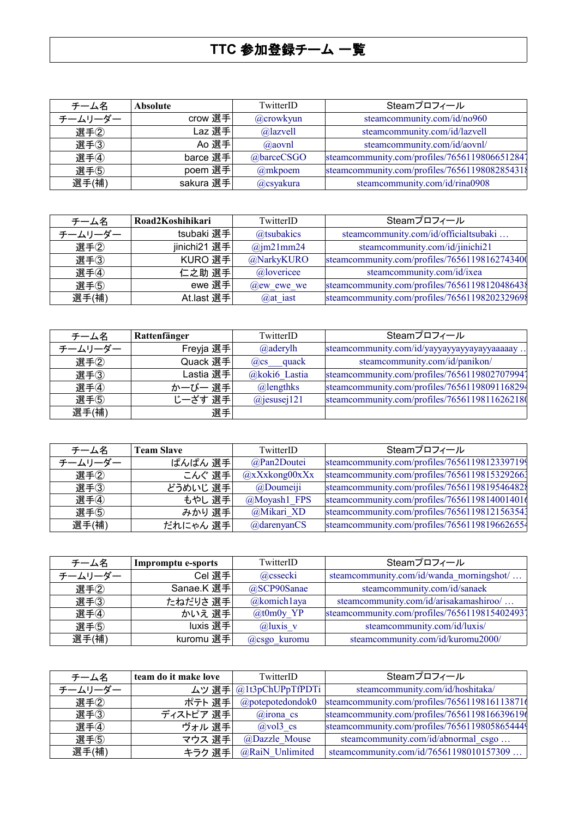## **TTC** 参加登録チーム 一覧

| チーム名    | <b>Absolute</b> | TwitterID   | Steamプロフィール                                   |
|---------|-----------------|-------------|-----------------------------------------------|
| チームリーダー | crow 選手         | @crowkyun   | steamcommunity.com/id/no960                   |
| 選手2     | Laz 選手          | @lazvell    | steamcommunity.com/id/lazvell                 |
| 選手(3)   | Ao 選手           | $(a)$ aovnl | steamcommunity.com/id/aovnl/                  |
| 選手4     | barce 選手        | @barceCSGO  | steamcommunity.com/profiles/76561198066512841 |
| 選手(5)   | poem 選手         | $@m$ kpoem  | steamcommunity.com/profiles/7656119808285431{ |
| 選手(補)   | sakura 選手       | @csyakura   | steamcommunity.com/id/rina0908                |

| チーム名    | Road2Koshihikari | TwitterID         | Steamプロフィール                                   |
|---------|------------------|-------------------|-----------------------------------------------|
| チームリーダー | tsubaki 選手       | @tsubakics        | steamcommunity.com/id/officialtsubaki         |
| 選手2     | jinichi21 選手     | $\omega$ jm21mm24 | steamcommunity.com/id/jinichi21               |
| 選手3     | KURO 選手          | @NarkyKURO        | steamcommunity.com/profiles/76561198162743400 |
| 選手4     | 仁之助 選手           | @lovericee        | steamcommunity.com/id/ixea                    |
| 選手(5)   | ewe 選手           | $(a)$ ew ewe we   | steamcommunity.com/profiles/7656119812048643  |
| 選手(補)   | At.last 選手       | $(a)$ at iast     | steamcommunity.com/profiles/76561198202329698 |

| チーム名    | Rattenfänger | TwitterID           | Steamプロフィール                                   |
|---------|--------------|---------------------|-----------------------------------------------|
| チームリーダー | Freyja 選手    | $@$ aderylh         | steamcommunity.com/id/yayyayyayyayyayyaaaaay  |
| 選手2     | Quack 選手     | $(a)$ cs quack      | steamcommunity.com/id/panikon/                |
| 選手(3)   | Lastia 選手    | @koki6 Lastia       | steamcommunity.com/profiles/76561198027079941 |
| 選手4     | かーびー 選手      | $@$ lengthks        | steamcommunity.com/profiles/76561198091168294 |
| 選手5     | じーざす 選手      | $(a)$ jesusej $121$ | steamcommunity.com/profiles/7656119811626218  |
| 選手(補)   | 選手           |                     |                                               |

| チーム名    | <b>Team Slave</b> | TwitterID          | Steamプロフィール                                   |
|---------|-------------------|--------------------|-----------------------------------------------|
| チームリーダー | ぱんぱん 選手           | @Pan2Doutei        | steamcommunity.com/profiles/76561198123397199 |
| 選手2     | こんぐ 選手            | $(a)$ xXxkong00xXx | steamcommunity.com/profiles/76561198153292661 |
| 選手(3)   | どうめいじ 選手          | $@$ Doumeiji       | steamcommunity.com/profiles/7656119819546482  |
| 選手4     | もやし 選手            | @Moyash1 FPS       | steamcommunity.com/profiles/7656119814001401  |
| 選手(5)   | みかり 選手            | @Mikari XD         | steamcommunity.com/profiles/76561198121563541 |
| 選手(補)   | だれにゃん 選手          | @darenyanCS        | steamcommunity.com/profiles/76561198196626554 |

| チーム名    | Impromptu e-sports | TwitterID      | Steamプロフィール                                   |
|---------|--------------------|----------------|-----------------------------------------------|
| チームリーダー | Cel 選手             | @cssecki       | steamcommunity.com/id/wanda_morningshot/      |
| 選手2     | Sanae.K 選手         | @SCP90Sanae    | steamcommunity.com/id/sanaek                  |
| 選手(3)   | たねだりさ 選手           | $@$ komichlaya | steamcommunity.com/id/arisakamashiroo/        |
| 選手4     | かいえ 選手             | @t0m0y $YP$    | steamcommunity.com/profiles/76561198154024931 |
| 選手(5)   | luxis 選手           | $Q$ luxis v    | steamcommunity.com/id/luxis/                  |
| 選手(補)   | kuromu 選手          | @csgo_kuromu   | steamcommunity.com/id/kuromu2000/             |

| チーム名    | team do it make love | TwitterID              | Steamプロフィール                                   |
|---------|----------------------|------------------------|-----------------------------------------------|
| チームリーダー |                      | ムツ 選手 @1t3pChUPpTfPDTi | steamcommunity.com/id/hoshitaka/              |
| 選手2     | ポテト 選手               | $@$ potepotedondok $0$ | steamcommunity.com/profiles/76561198161138710 |
| 選手3     | ディストピア 選手            | $@$ irona cs           | steamcommunity.com/profiles/7656119816639619  |
| 選手4     | ヴォル 選手               | $(a)$ vol $3$ cs       | steamcommunity.com/profiles/76561198058654449 |
| 選手(5)   | マウス 選手               | @Dazzle Mouse          | steamcommunity.com/id/abnormal csgo           |
| 選手(補)   | キラク 選手               | @RaiN Unlimited        | steamcommunity.com/id/76561198010157309       |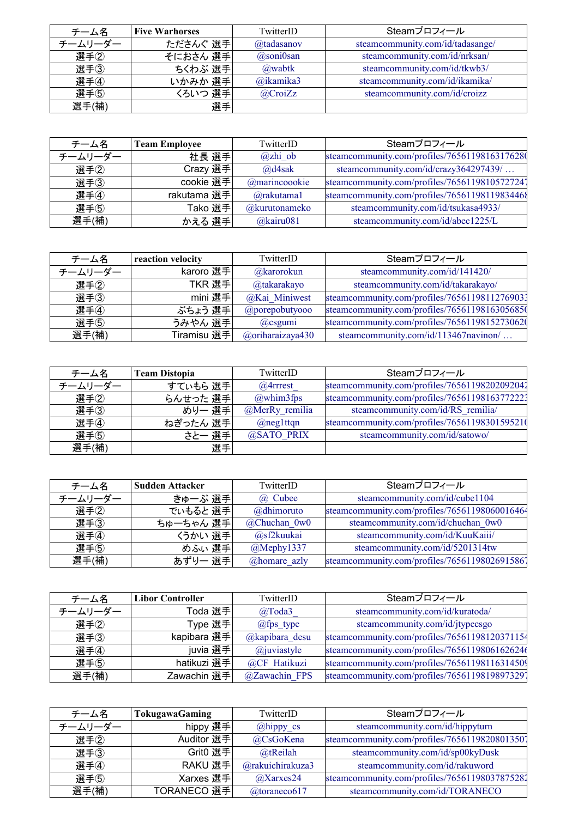| チーム名    | <b>Five Warhorses</b> | TwitterID      | Steamプロフィール                      |
|---------|-----------------------|----------------|----------------------------------|
| チームリーダー | たださんぐ 選手              | @tadasanov     | steamcommunity.com/id/tadasange/ |
| 選手2     | そにおさん 選手              | $(a)$ soni0san | steamcommunity.com/id/nrksan/    |
| 選手3     | ちくわぶ 選手               | @wabtk         | steamcommunity.com/id/tkwb3/     |
| 選手4     | いかみか 選手               | @ikamika3      | steamcommunity.com/id/ikamika/   |
| 選手(5)   | くろいつ 選手               | $@$ CroiZz     | steamcommunity.com/id/croizz     |
| 選手(補)   | 選手                    |                |                                  |

| チーム名    | <b>Team Employee</b> | TwitterID       | Steamプロフィール                                   |
|---------|----------------------|-----------------|-----------------------------------------------|
| チームリーダー | 社長 選手                | $(a)$ zhi ob    | steamcommunity.com/profiles/7656119816317628  |
| 選手2     | Crazy 選手             | $\omega$ d4sak  | steamcommunity.com/id/crazy364297439/         |
| 選手(3)   | cookie 選手            | @marincoookie   | steamcommunity.com/profiles/76561198105727241 |
| 選手4     | rakutama 選手          | $(a)$ rakutama1 | steamcommunity.com/profiles/7656119811983446  |
| 選手(5)   | Tako 選手              | @kurutonameko   | steamcommunity.com/id/tsukasa4933/            |
| 選手(補)   | かえる 選手               | $@$ kairu081    | steamcommunity.com/id/abec1225/L              |

| チーム名    | reaction velocity | TwitterID             | Steamプロフィール                                   |
|---------|-------------------|-----------------------|-----------------------------------------------|
| チームリーダー | karoro 選手         | $@k$ arorokun         | steamcommunity.com/id/141420/                 |
| 選手2     | TKR 選手            | @takarakayo           | steamcommunity.com/id/takarakayo/             |
| 選手(3)   | mini 選手           | @Kai Miniwest         | steamcommunity.com/profiles/76561198112769031 |
| 選手4     | ぶちょう 選手           | $@$ porepobutyooo     | steamcommunity.com/profiles/76561198163056850 |
| 選手(5)   | うみやん 選手           | $(a)$ csgumi          | steamcommunity.com/profiles/76561198152730620 |
| 選手(補)   | Tiramisu 選手       | $(a)$ oriharaizaya430 | steamcommunity.com/id/113467navinon/          |

| チーム名    | <b>Team Distopia</b> | TwitterID      | Steamプロフィール                                   |
|---------|----------------------|----------------|-----------------------------------------------|
| チームリーダー | すていもら 選手             | $@4$ rrrest    | steamcommunity.com/profiles/76561198202092041 |
| 選手②     | らんせった 選手             | $@$ whim3fps   | steamcommunity.com/profiles/76561198163772221 |
| 選手(3)   | めりー 選手               | @MerRy remilia | steamcommunity.com/id/RS remilia/             |
| 選手4     | ねぎったん 選手             | $(a)$ neglttqn | steamcommunity.com/profiles/76561198301595210 |
| 選手(5)   | さと一 選手               | @SATO PRIX     | steamcommunity.com/id/satowo/                 |
| 選手(補)   | 選手                   |                |                                               |

| チーム名    | <b>Sudden Attacker</b> | TwitterID       | Steamプロフィール                                   |
|---------|------------------------|-----------------|-----------------------------------------------|
| チームリーダー | きゅーぶ 選手                | (a) Cubee       | steamcommunity.com/id/cube1104                |
| 選手2     | でいもると 選手               | @dhimoruto      | steamcommunity.com/profiles/76561198060016464 |
| 選手(3)   | ちゅーちゃん 選手              | $@$ Chuchan 0w0 | steamcommunity.com/id/chuchan 0w0             |
| 選手4     | くうかい 選手                | @sf2kuukai      | steamcommunity.com/id/KuuKaiii/               |
| 選手5     | めふぃ 選手                 | $@$ Mephy1337   | steamcommunity.com/id/5201314tw               |
| 選手(補)   | あずりー 選手                | @homare_azly    | steamcommunity.com/profiles/7656119802691586] |

| チーム名    | <b>Libor Controller</b> | TwitterID           | Steamプロフィール                                   |
|---------|-------------------------|---------------------|-----------------------------------------------|
| チームリーダー | Toda 選手                 | $@$ Toda3           | steamcommunity.com/id/kuratoda/               |
| 選手2     | Type 選手                 | $@fps$ type         | steamcommunity.com/id/jtypecsgo               |
| 選手(3)   | kapibara 選手             | $@$ kapibara desu   | steamcommunity.com/profiles/76561198120371154 |
| 選手4     | juvia 選手                | $\omega$ juviastyle | steamcommunity.com/profiles/76561198061626246 |
| 選手(5)   | hatikuzi 選手             | @CF Hatikuzi        | steamcommunity.com/profiles/76561198116314509 |
| 選手(補)   | Zawachin 選手             | @Zawachin FPS       | steamcommunity.com/profiles/7656119819897329  |

| チーム名    | TokugawaGaming | TwitterID              | Steamプロフィール                                   |
|---------|----------------|------------------------|-----------------------------------------------|
| チームリーダー | hippy 選手       | $@$ hippy_cs           | steamcommunity.com/id/hippyturn               |
| 選手2     | Auditor 選手     | @CsGoKena              | steamcommunity.com/profiles/7656119820801350  |
| 選手3     | Grit0 選手       | @tReilah               | steamcommunity.com/id/sp00kyDusk              |
| 選手4     | RAKU 選手        | @rakuichirakuza3       | steamcommunity.com/id/rakuword                |
| 選手(5)   | Xarxes 選手      | @Xarxes24              | steamcommunity.com/profiles/76561198037875281 |
| 選手(補)   | TORANECO 選手    | $@t \text{orance} 617$ | steamcommunity.com/id/TORANECO                |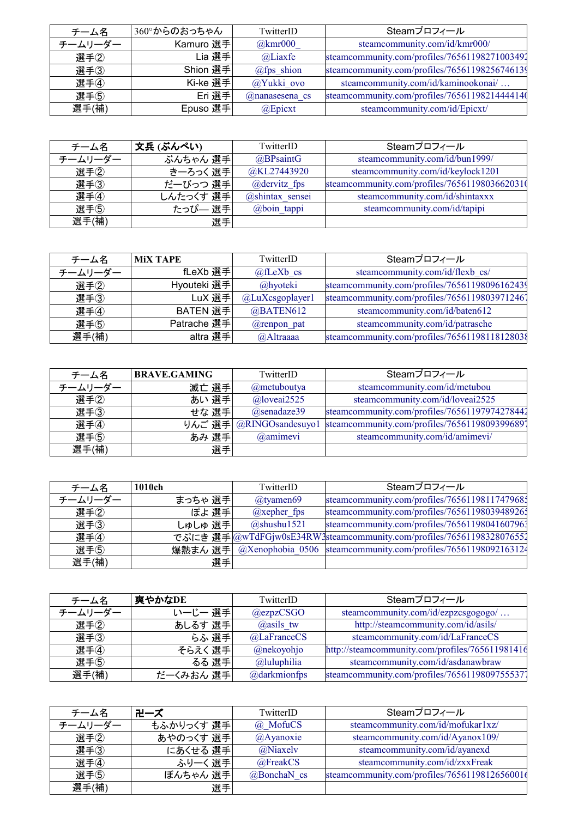| チーム名    | 360°からのおっちゃん | TwitterID           | Steamプロフィール                                   |
|---------|--------------|---------------------|-----------------------------------------------|
| チームリーダー | Kamuro 選手    | @kmr000             | steamcommunity.com/id/kmr000/                 |
| 選手2     | Lia 選手       | $@$ Liaxfe          | steamcommunity.com/profiles/76561198271003491 |
| 選手3     | Shion 選手     | $@fps$ shion        | steamcommunity.com/profiles/76561198256746139 |
| 選手4     | Ki-ke 選手     | @Yukki ovo          | steamcommunity.com/id/kaminookonai/           |
| 選手(5)   | Eri 選手       | $(a)$ nanasesena cs | steamcommunity.com/profiles/76561198214444140 |
| 選手(補)   | Epuso 選手     | @Epicxt             | steamcommunity.com/id/Epicxt/                 |

| チーム名    | 文兵 (ぶんぺい) | TwitterID       | Steamプロフィール                                   |
|---------|-----------|-----------------|-----------------------------------------------|
| チームリーダー | ぶんちゃん 選手  | $@$ BPsaintG    | steamcommunity.com/id/bun1999/                |
| 選手2     | きーろっく 選手  | @KL27443920     | steamcommunity.com/id/keylock1201             |
| 選手3     | だーびっつ 選手  | $@devitz$ fps   | steamcommunity.com/profiles/76561198036620310 |
| 選手4     | しんたっくす 選手 | @shintax sensei | steamcommunity.com/id/shintaxxx               |
| 選手(5)   | たっぴー 選手   | $@$ boin tappi  | steamcommunity.com/id/tapipi                  |
| 選手(補)   | 選手        |                 |                                               |

| チーム名    | <b>MIX TAPE</b> | TwitterID       | Steamプロフィール                                   |
|---------|-----------------|-----------------|-----------------------------------------------|
| チームリーダー | fLeXb 選手        | $@f$ LeXb cs    | steamcommunity.com/id/flexb cs/               |
| 選手2     | Hyouteki 選手     | @hyoteki        | steamcommunity.com/profiles/76561198096162439 |
| 選手3     | LuX 選手          | @LuXcsgoplayer1 | steamcommunity.com/profiles/76561198039712461 |
| 選手4     | BATEN 選手        | @BATEN612       | steamcommunity.com/id/baten612                |
| 選手(5)   | Patrache 選手     | @renpon pat     | steamcommunity.com/id/patrasche               |
| 選手(補)   | altra 選手        | @Altraaaa       | steamcommunity.com/profiles/7656119811812803  |

| チーム名    | <b>BRAVE.GAMING</b> | TwitterID        | Steamプロフィール                                                            |
|---------|---------------------|------------------|------------------------------------------------------------------------|
| チームリーダー | 滅亡 選手               | @metuboutya      | steamcommunity.com/id/metubou                                          |
| 選手②     | あい 選手               | $@$ loveai2525   | steamcommunity.com/id/loveai2525                                       |
| 選手3     | せな 選手               | $(a)$ senadaze39 | steamcommunity.com/profiles/76561197974278441                          |
| 選手4     |                     |                  | りんご 選手 @RINGOsandesuyo1  steamcommunity.com/profiles/76561198093996891 |
| 選手(5)   | あみ 選手               | @amimevi         | steamcommunity.com/id/amimevi/                                         |
| 選手(補)   | 選手                  |                  |                                                                        |

| チーム名    | 1010ch  | TwitterID        | Steamプロフィール                                                           |
|---------|---------|------------------|-----------------------------------------------------------------------|
| チームリーダー | まっちゃ 選手 | $@$ tyamen69     | steamcommunity.com/profiles/76561198117479681                         |
| 選手2     | ぽよ 選手   | $(a)$ xepher fps | steamcommunity.com/profiles/7656119803948926;                         |
| 選手(3)   | しゅしゅ 選手 | $@$ shushu1521   | steamcommunity.com/profiles/76561198041607961                         |
| 選手4     |         |                  | でぷにき 選手 @wTdFGjw0sE34RW3steamcommunity.com/profiles/76561198328076551 |
| 選手(5)   | 爆熱まん 選手 |                  | @Xenophobia 0506  steamcommunity.com/profiles/76561198092163124       |
| 選手(補)   | 選手      |                  |                                                                       |

| チーム名    | 爽やかなDE    | TwitterID       | Steamプロフィール                                     |
|---------|-----------|-----------------|-------------------------------------------------|
| チームリーダー | いーじー 選手   | $@$ ezpz $CSGO$ | steamcommunity.com/id/ezpzcsgogogo/             |
| 選手2     | あしるす 選手   | $(a)$ asils tw  | http://steamcommunity.com/id/asils/             |
| 選手(3)   | らふ 選手     | @LaFranceCS     | steamcommunity.com/id/LaFranceCS                |
| 選手4     | そらえく 選手   | @nekoyohjo      | http://steamcommunity.com/profiles/765611981416 |
| 選手(5)   | るる 選手     | $@$ luluphilia  | steamcommunity.com/id/asdanawbraw               |
| 選手(補)   | だーくみおん 選手 | @darkmionfps    | steamcommunity.com/profiles/7656119809755537    |

| チーム名    | 卍ーズ        | TwitterID        | Steamプロフィール                                  |
|---------|------------|------------------|----------------------------------------------|
| チームリーダー | もふかりっくす 選手 | @ MofuCS         | steamcommunity.com/id/mofukar1xz/            |
| 選手2     | あやのっくす 選手  | $(a)$ Ayanoxie   | steamcommunity.com/id/Ayanox109/             |
| 選手3     | にあくせる 選手   | @Niaxely         | steamcommunity.com/id/ayanexd                |
| 選手4     | ふりーく 選手    | @FreakCS         | steamcommunity.com/id/zxxFreak               |
| 選手(5)   | ぼんちゃん 選手   | $(a)$ BonchaN cs | steamcommunity.com/profiles/7656119812656001 |
| 選手(補)   | 選手         |                  |                                              |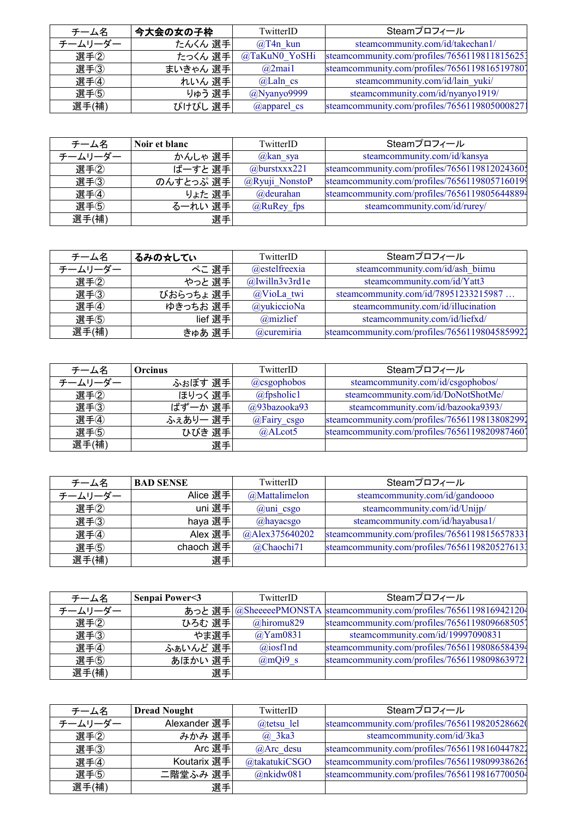| チーム名    | 今大会の女の子枠 | TwitterID        | Steamプロフィール                                   |
|---------|----------|------------------|-----------------------------------------------|
| チームリーダー | たんくん 選手  | $@T4n$ kun       | steamcommunity.com/id/takechan1/              |
| 選手2     | たっくん 選手  | @TaKuN0 YoSHi    | steamcommunity.com/profiles/76561198118156251 |
| 選手(3)   | まいきゃん 選手 | $@2$ mail        | steamcommunity.com/profiles/76561198165197807 |
| 選手4     | れいん 選手   | $@$ Laln cs      | steamcommunity.com/id/lain yuki/              |
| 選手(5)   | りゅう 選手   | $(a)$ Nyanyo9999 | steamcommunity.com/id/nyanyo1919/             |
| 選手(補)   | ぴけぴし 選手  | $(a)$ apparel cs | steamcommunity.com/profiles/7656119805000827  |

| チーム名    | Noir et blanc | TwitterID        | Steamプロフィール                                   |
|---------|---------------|------------------|-----------------------------------------------|
| チームリーダー | かんしゃ 選手       | $\omega$ kan sya | steamcommunity.com/id/kansya                  |
| 選手2     | ばーすと 選手       | $@$ burstxxx221  | steamcommunity.com/profiles/7656119812024360; |
| 選手(3)   | のんすとっぷ 選手     | @Ryuji NonstoP   | steamcommunity.com/profiles/76561198057160199 |
| 選手4     | りょた 選手        | @deurahan        | steamcommunity.com/profiles/76561198056448894 |
| 選手(5)   | るーれい 選手       | @RuRey fps       | steamcommunity.com/id/rurey/                  |
| 選手(補)   | 選手            |                  |                                               |

| チーム名    | るみの☆してい   | TwitterID            | Steamプロフィール                                   |
|---------|-----------|----------------------|-----------------------------------------------|
| チームリーダー | ぺこ 選手     | $@$ estelfreexia     | steamcommunity.com/id/ash biimu               |
| 選手2     | やっと 選手    | $@$ Jwilln $3v3rd1e$ | steamcommunity.com/id/Yatt3                   |
| 選手3     | びおらっちょ 選手 | @VioLa twi           | steamcommunity.com/id/78951233215987          |
| 選手4     | ゆきっちお 選手  | @yukiccioNa          | steamcommunity.com/id/illucination            |
| 選手(5)   | lief 選手   | @mizlief             | steamcommunity.com/id/liefxd/                 |
| 選手(補)   | きゅあ 選手    | @curemiria           | steamcommunity.com/profiles/76561198045859921 |

| チーム名    | <b>Orcinus</b> | TwitterID     | Steamプロフィール                                   |
|---------|----------------|---------------|-----------------------------------------------|
| チームリーダー | ふぉぼす 選手        | @csgophobos   | steamcommunity.com/id/csgophobos/             |
| 選手②     | ほりっく 選手        | $@f$ psholic1 | steamcommunity.com/id/DoNotShotMe/            |
| 選手(3)   | ばずーか 選手        | @93bazooka93  | steamcommunity.com/id/bazooka9393/            |
| 選手4     | ふぇありー 選手       | @Fairy csgo   | steamcommunity.com/profiles/76561198138082991 |
| 選手(5)   | ひびき 選手         | $@A$ Lcot5    | steamcommunity.com/profiles/76561198209874607 |
| 選手(補)   | 選手             |               |                                               |

| チーム名    | <b>BAD SENSE</b> | TwitterID      | Steamプロフィール                                   |
|---------|------------------|----------------|-----------------------------------------------|
| チームリーダー | Alice 選手         | @Mattalimelon  | steamcommunity.com/id/gandoooo                |
| 選手2     | uni 選手           | $@$ uni csgo   | steamcommunity.com/id/Unijp/                  |
| 選手3     | haya 選手          | @hayacsgo      | steamcommunity.com/id/hayabusa1/              |
| 選手4     | Alex 選手          | @Alex375640202 | steamcommunity.com/profiles/7656119815657833  |
| 選手(5)   | chaoch 選手        | @Chaochi71     | steamcommunity.com/profiles/76561198205276131 |
| 選手(補)   | 選手               |                |                                               |

| チーム名    | Senpai Power<3 | TwitterID       | Steamプロフィール                                                           |
|---------|----------------|-----------------|-----------------------------------------------------------------------|
| チームリーダー |                |                 | あっと 選手 @SheeeeePMONSTA  steamcommunity.com/profiles/76561198169421204 |
| 選手2     | ひろむ 選手         | $@$ hiromu829   | steamcommunity.com/profiles/7656119809668505                          |
| 選手(3)   | やま選手           | @Yam0831        | steamcommunity.com/id/19997090831                                     |
| 選手④     | ふぁいんど 選手       | $(a)$ iosflnd   | steamcommunity.com/profiles/76561198086584394                         |
| 選手5     | あほかい 選手        | $\omega$ mQi9 s | steamcommunity.com/profiles/7656119809863972                          |
| 選手(補)   | 選手             |                 |                                                                       |

| チーム名    | <b>Dread Nought</b> | TwitterID       | Steamプロフィール                                   |
|---------|---------------------|-----------------|-----------------------------------------------|
| チームリーダー | Alexander 選手        | @tetsu lel      | steamcommunity.com/profiles/7656119820528662  |
| 選手2     | みかみ 選手              | $(a)$ 3ka3      | steamcommunity.com/id/3ka3                    |
| 選手(3)   | Arc 選手              | $@$ Arc desu    | steamcommunity.com/profiles/76561198160447822 |
| 選手4     | Koutarix 選手         | @takatukiCSGO   | steamcommunity.com/profiles/7656119809938626; |
| 選手(5)   | 二階堂ふみ 選手            | $@n$ kidw $081$ | steamcommunity.com/profiles/76561198167700504 |
| 選手(補)   | 選手                  |                 |                                               |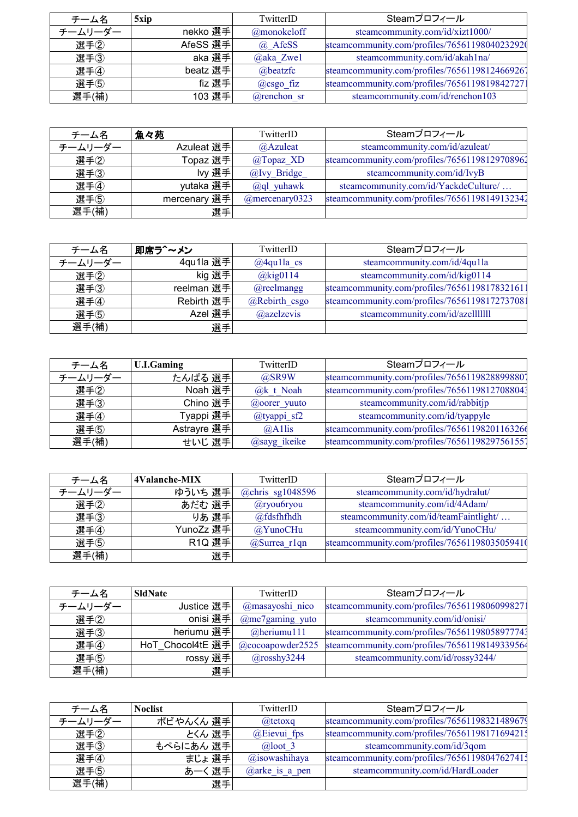| チーム名    | 5xip     | TwitterID      | Steamプロフィール                                   |
|---------|----------|----------------|-----------------------------------------------|
| チームリーダー | nekko 選手 | @monokeloff    | steamcommunity.com/id/xizt1000/               |
| 選手2     | AfeSS 選手 | $\omega$ AfeSS | steamcommunity.com/profiles/76561198040232920 |
| 選手(3)   | aka 選手   | @aka Zwe1      | steamcommunity.com/id/akah1na/                |
| 選手4     | beatz 選手 | @beatzfc       | steamcommunity.com/profiles/76561198124669261 |
| 選手(5)   | fiz 選手   | $(a)$ csgo fiz | steamcommunity.com/profiles/7656119819842727  |
| 選手(補)   | 103 選手   | @renchon sr    | steamcommunity.com/id/renchon103              |

| チーム名    | 魚々苑          | TwitterID         | Steamプロフィール                                   |
|---------|--------------|-------------------|-----------------------------------------------|
| チームリーダー | Azuleat 選手   | @Azuleat          | steamcommunity.com/id/azuleat/                |
| 選手2     | Topaz 選手     | @Topaz_XD         | steamcommunity.com/profiles/76561198129708961 |
| 選手(3)   | lvy 選手       | @Ivy Bridge       | steamcommunity.com/id/IvyB                    |
| 選手4     | yutaka 選手    | $(a)$ ql yuhawk   | steamcommunity.com/id/YackdeCulture/          |
| 選手(5)   | mercenary 選手 | $@$ mercenary0323 | steamcommunity.com/profiles/76561198149132341 |
| 選手(補)   | 選手           |                   |                                               |

| チーム名    | 即席ラ^~メン    | TwitterID      | Steamプロフィール                                  |
|---------|------------|----------------|----------------------------------------------|
| チームリーダー | 4qu1la 選手  | $@4q$ ulla cs  | steamcommunity.com/id/4qu1la                 |
| 選手2     | kig 選手     | $@$ kig $0114$ | steamcommunity.com/id/kig0114                |
| 選手3     | reelman 選手 | $@$ reelmangg  | steamcommunity.com/profiles/7656119817832161 |
| 選手4     | Rebirth 選手 | @Rebirth csgo  | steamcommunity.com/profiles/7656119817273708 |
| 選手(5)   | Azel 選手    | @azelzevis     | steamcommunity.com/id/azellllllll            |
| 選手(補)   | 選手         |                |                                              |

| チーム名    | <b>U.I.Gaming</b> | TwitterID         | Steamプロフィール                                   |
|---------|-------------------|-------------------|-----------------------------------------------|
| チームリーダー | たんぱる 選手           | $@$ SR9W          | steamcommunity.com/profiles/7656119828899880] |
| 選手2     | Noah 選手           | $@k$ t Noah       | steamcommunity.com/profiles/76561198127088043 |
| 選手(3)   | Chino 選手          | $(a)$ oorer yuuto | steamcommunity.com/id/rabbitjp                |
| 選手4     | Tyappi 選手         | $@$ tyappi sf2    | steamcommunity.com/id/tyappyle                |
| 選手(5)   | Astrayre 選手       | @Allis            | steamcommunity.com/profiles/7656119820116326  |
| 選手(補)   | せいじ 選手            | @sayg ikeike      | steamcommunity.com/profiles/7656119829756155  |

| チーム名    | 4Valanche-MIX | TwitterID          | Steamプロフィール                                   |
|---------|---------------|--------------------|-----------------------------------------------|
| チームリーダー | ゆういち 選手       | $@chris$ sg1048596 | steamcommunity.com/id/hydralut/               |
| 選手2     | あだむ 選手        | $@$ ryou $6$ ryou  | steamcommunity.com/id/4Adam/                  |
| 選手3     | りあ 選手         | @fdsfhfhdh         | steamcommunity.com/id/teamFaintlight/         |
| 選手4     | YunoZz 選手     | @YunoCHu           | steamcommunity.com/id/YunoCHu/                |
| 選手(5)   | <b>R1Q 選手</b> | @Surrea $r1qn$     | steamcommunity.com/profiles/76561198035059410 |
| 選手(補)   | 選手            |                    |                                               |

| チーム名    | <b>SldNate</b>   | TwitterID            | Steamプロフィール                                   |
|---------|------------------|----------------------|-----------------------------------------------|
| チームリーダー | Justice 選手       | @masayoshi nico      | steamcommunity.com/profiles/7656119806099827  |
| 選手2     | onisi 選手         | $(a)$ me7gaming yuto | steamcommunity.com/id/onisi/                  |
| 選手3     | heriumu 選手       | $@$ heriumul 11      | steamcommunity.com/profiles/76561198058977741 |
| 選手4     | HoT Chocol4tE 選手 | $@$ cocoapowder2525  | steamcommunity.com/profiles/76561198149339564 |
| 選手(5)   | rossy 選手         | $(a)$ rosshy3244     | steamcommunity.com/id/rossy3244/              |
| 選手(補)   | 選手               |                      |                                               |

| チーム名    | <b>Noclist</b> | TwitterID          | Steamプロフィール                                   |
|---------|----------------|--------------------|-----------------------------------------------|
| チームリーダー | ボビやんくん 選手      | $@$ tetoxq         | steamcommunity.com/profiles/76561198321489679 |
| 選手2     | とくん 選手         | $@E$ ievui fps     | steamcommunity.com/profiles/7656119817169421; |
| 選手(3)   | もぺらにあん 選手      | $\omega$ loot 3    | steamcommunity.com/id/3qom                    |
| 選手4     | まじょ 選手         | $(a)$ isowashihaya | steamcommunity.com/profiles/7656119804762741; |
| 選手5     | あーく 選手         | $@$ arke is a pen  | steamcommunity.com/id/HardLoader              |
| 選手(補)   | 選手             |                    |                                               |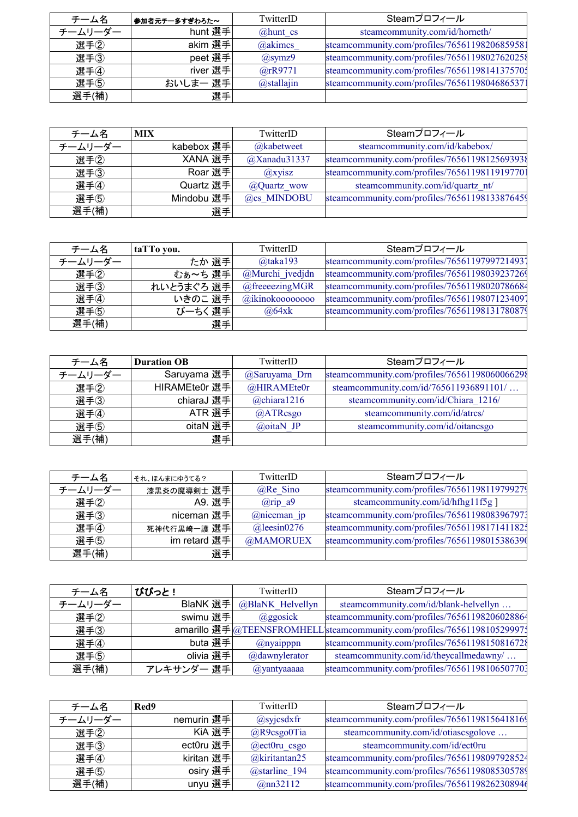| チーム名    | 参加者元チー多すぎわろた~ | TwitterID       | Steamプロフィール                                   |
|---------|---------------|-----------------|-----------------------------------------------|
| チームリーダー | hunt 選手       | $@$ hunt cs     | steamcommunity.com/id/horneth/                |
| 選手2     | akim 選手       | @akimcs         | steamcommunity.com/profiles/7656119820685958  |
| 選手3     | peet 選手       | $\omega$ symz9  | steamcommunity.com/profiles/7656119802762025  |
| 選手4     | river 選手      | $(a)$ rR9771    | steamcommunity.com/profiles/7656119814137570; |
| 選手(5)   | おいしまー 選手      | $(a)$ stallajin | steamcommunity.com/profiles/76561198046865371 |
| 選手(補)   | 選手            |                 |                                               |

| チーム名    | <b>MIX</b> | TwitterID         | Steamプロフィール                                   |
|---------|------------|-------------------|-----------------------------------------------|
| チームリーダー | kabebox 選手 | @kabetweet        | steamcommunity.com/id/kabebox/                |
| 選手2     | XANA 選手    | $(a)$ Xanadu31337 | steamcommunity.com/profiles/7656119812569393  |
| 選手3     | Roar 選手    | $\omega$ xyisz    | steamcommunity.com/profiles/7656119811919770  |
| 選手4     | Quartz 選手  | @Quartz wow       | steamcommunity.com/id/quartz_nt/              |
| 選手(5)   | Mindobu 選手 | @cs MINDOBU       | steamcommunity.com/profiles/76561198133876459 |
| 選手(補)   | 選手         |                   |                                               |

| チーム名    | taTTo you. | TwitterID          | Steamプロフィール                                   |
|---------|------------|--------------------|-----------------------------------------------|
| チームリーダー | たか 選手      | $@$ taka193        | steamcommunity.com/profiles/7656119799721493] |
| 選手②     | むぁ~ち 選手    | @Murchi jvedjdn    | steamcommunity.com/profiles/76561198039237269 |
| 選手③     | れいとうまぐろ 選手 | $@$ freeeezingMGR  | steamcommunity.com/profiles/76561198020786684 |
| 選手4     | いきのこ 選手    | $@i$ kinokoooooooo | steamcommunity.com/profiles/7656119807123409  |
| 選手5     | びーちく選手     | $\omega$ 64xk      | steamcommunity.com/profiles/76561198131780879 |
| 選手(補)   | 選手         |                    |                                               |

| チーム名    | <b>Duration OB</b> | TwitterID         | Steamプロフィール                                  |
|---------|--------------------|-------------------|----------------------------------------------|
| チームリーダー | Saruyama 選手        | @Saruyama Drn     | steamcommunity.com/profiles/7656119806006629 |
| 選手2     | HIRAMEte0r 選手      | @HIRAMEte0r       | steamcommunity.com/id/765611936891101/       |
| 選手3     | chiaraJ 選手         | $(a)$ chiara1216  | steamcommunity.com/id/Chiara 1216/           |
| 選手4     | ATR 選手             | $@$ ATRcsgo       | steamcommunity.com/id/atrcs/                 |
| 選手(5)   | oitaN 選手           | $\omega$ oitaN JP | steamcommunity.com/id/oitancsgo              |
| 選手(補)   | 選手                 |                   |                                              |

| チーム名    | それ、ほんまにゆうてる? | TwitterID           | Steamプロフィール                                   |
|---------|--------------|---------------------|-----------------------------------------------|
| チームリーダー | 漆黒炎の魔導剣士 選手  | $@Re$ Sino          | steamcommunity.com/profiles/76561198119799279 |
| 選手②     | A9. 選手       | $(a)$ rip a9        | steamcommunity.com/id/hfhg11f5g]              |
| 選手3     | niceman 選手   | $@niceman$ jp       | steamcommunity.com/profiles/76561198083967971 |
| 選手4     | 死神代行黒崎一護 選手  | $\omega$ leesin0276 | steamcommunity.com/profiles/7656119817141182; |
| 選手(5)   | im retard 選手 | @MAMORUEX           | steamcommunity.com/profiles/76561198015386390 |
| 選手(補)   | 選手           |                     |                                               |

| チーム名    | びびっと!      | TwitterID        | Steamプロフィール                                                             |
|---------|------------|------------------|-------------------------------------------------------------------------|
| チームリーダー | BlaNK 選手   | @BlaNK Helvellyn | steamcommunity.com/id/blank-helvellyn                                   |
| 選手2     | swimu 選手   | $\omega$ ggosick | steamcommunity.com/profiles/76561198206028864                           |
| 選手3     |            |                  | amarillo 選手 @TEENSFROMHELL steamcommunity.com/profiles/7656119810529997 |
| 選手4     | buta 選手    | $(a)$ nyaipppn   | steamcommunity.com/profiles/7656119815081672                            |
| 選手(5)   | olivia 選手  | @dawnylerator    | steamcommunity.com/id/theycallmedawny/                                  |
| 選手(補)   | アレキサンダー 選手 | @yantyaaaaa      | steamcommunity.com/profiles/76561198106507701                           |

| チーム名    | Red9       | TwitterID          | Steamプロフィール                                   |
|---------|------------|--------------------|-----------------------------------------------|
| チームリーダー | nemurin 選手 | $\omega$ syjcsdxfr | steamcommunity.com/profiles/76561198156418169 |
| 選手2     | KiA 選手     | @R9csgo0Tia        | steamcommunity.com/id/otiascsgolove           |
| 選手(3)   | ect0ru 選手  | $@ect0ru$ csgo     | steamcommunity.com/id/ect0ru                  |
| 選手4     | kiritan 選手 | $@$ kiritantan25   | steamcommunity.com/profiles/76561198097928524 |
| 選手(5)   | osiry 選手   | @starline 194      | steamcommunity.com/profiles/7656119808530578  |
| 選手(補)   | unyu 選手    | $(a)$ nn32112      | steamcommunity.com/profiles/7656119826230894  |